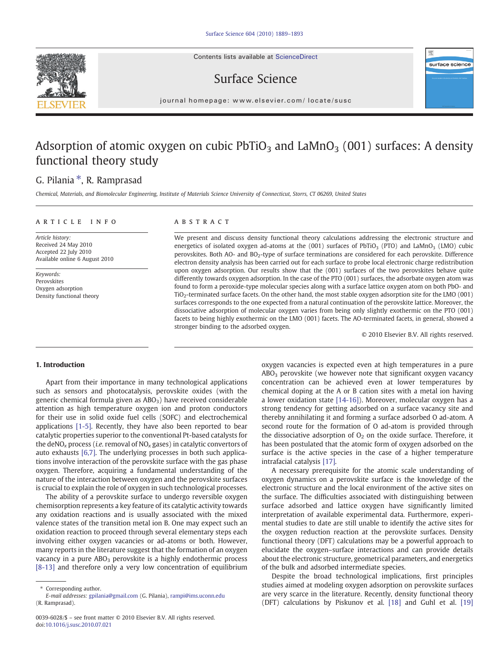Contents lists available at ScienceDirect





 $j$  or expression e p a g e  $\alpha$  is even if  $\alpha$  is even if the commutation of  $\alpha$ 

# Adsorption of atomic oxygen on cubic  $PbTiO<sub>3</sub>$  and  $LaMnO<sub>3</sub>$  (001) surfaces: A density functional theory study

## G. Pilania  $*$ , R. Ramprasad

Chemical, Materials, and Biomolecular Engineering, Institute of Materials Science University of Connecticut, Storrs, CT 06269, United States

### article info abstract

Article history: Received 24 May 2010 Accepted 22 July 2010 Available online 6 August 2010

Keywords: Perovskites Oxygen adsorption Density functional theory

We present and discuss density functional theory calculations addressing the electronic structure and energetics of isolated oxygen ad-atoms at the (001) surfaces of PbTiO<sub>3</sub> (PTO) and LaMnO<sub>3</sub> (LMO) cubic perovskites. Both AO- and BO<sub>2</sub>-type of surface terminations are considered for each perovskite. Difference electron density analysis has been carried out for each surface to probe local electronic charge redistribution upon oxygen adsorption. Our results show that the (001) surfaces of the two perovskites behave quite differently towards oxygen adsorption. In the case of the PTO (001) surfaces, the adsorbate oxygen atom was found to form a peroxide-type molecular species along with a surface lattice oxygen atom on both PbO- and TiO2-terminated surface facets. On the other hand, the most stable oxygen adsorption site for the LMO (001) surfaces corresponds to the one expected from a natural continuation of the perovskite lattice. Moreover, the dissociative adsorption of molecular oxygen varies from being only slightly exothermic on the PTO (001) facets to being highly exothermic on the LMO (001) facets. The AO-terminated facets, in general, showed a stronger binding to the adsorbed oxygen.

© 2010 Elsevier B.V. All rights reserved.

surface science

#### 1. Introduction

Apart from their importance in many technological applications such as sensors and photocatalysis, perovskite oxides (with the generic chemical formula given as  $ABO<sub>3</sub>$ ) have received considerable attention as high temperature oxygen ion and proton conductors for their use in solid oxide fuel cells (SOFC) and electrochemical applications [\[1-5\]](#page-4-0). Recently, they have also been reported to bear catalytic properties superior to the conventional Pt-based catalysts for the deNO<sub>x</sub> process (*i.e.* removal of NO<sub>x</sub> gases) in catalytic convertors of auto exhausts [\[6,7\]](#page-4-0). The underlying processes in both such applications involve interaction of the perovskite surface with the gas phase oxygen. Therefore, acquiring a fundamental understanding of the nature of the interaction between oxygen and the perovskite surfaces is crucial to explain the role of oxygen in such technological processes.

The ability of a perovskite surface to undergo reversible oxygen chemisorption represents a key feature of its catalytic activity towards any oxidation reactions and is usually associated with the mixed valence states of the transition metal ion B. One may expect such an oxidation reaction to proceed through several elementary steps each involving either oxygen vacancies or ad-atoms or both. However, many reports in the literature suggest that the formation of an oxygen vacancy in a pure ABO<sub>3</sub> perovskite is a highly endothermic process [\[8-13\]](#page-4-0) and therefore only a very low concentration of equilibrium

Corresponding author.

oxygen vacancies is expected even at high temperatures in a pure ABO<sub>3</sub> perovskite (we however note that significant oxygen vacancy concentration can be achieved even at lower temperatures by chemical doping at the A or B cation sites with a metal ion having a lower oxidation state [\[14-16\]\)](#page-4-0). Moreover, molecular oxygen has a strong tendency for getting adsorbed on a surface vacancy site and thereby annihilating it and forming a surface adsorbed O ad-atom. A second route for the formation of O ad-atom is provided through the dissociative adsorption of  $O<sub>2</sub>$  on the oxide surface. Therefore, it has been postulated that the atomic form of oxygen adsorbed on the surface is the active species in the case of a higher temperature intrafacial catalysis [\[17\].](#page-4-0)

A necessary prerequisite for the atomic scale understanding of oxygen dynamics on a perovskite surface is the knowledge of the electronic structure and the local environment of the active sites on the surface. The difficulties associated with distinguishing between surface adsorbed and lattice oxygen have significantly limited interpretation of available experimental data. Furthermore, experimental studies to date are still unable to identify the active sites for the oxygen reduction reaction at the perovskite surfaces. Density functional theory (DFT) calculations may be a powerful approach to elucidate the oxygen–surface interactions and can provide details about the electronic structure, geometrical parameters, and energetics of the bulk and adsorbed intermediate species.

Despite the broad technological implications, first principles studies aimed at modeling oxygen adsorption on perovskite surfaces are very scarce in the literature. Recently, density functional theory (DFT) calculations by Piskunov et al. [\[18\]](#page-4-0) and Guhl et al. [\[19\]](#page-4-0)

E-mail addresses: [gpilania@gmail.com](mailto:gpilania@gmail.com) (G. Pilania), [rampi@ims.uconn.edu](mailto:rampi@ims.uconn.edu) (R. Ramprasad).

<sup>0039-6028/\$</sup> – see front matter © 2010 Elsevier B.V. All rights reserved. doi:[10.1016/j.susc.2010.07.021](http://dx.doi.org/10.1016/j.susc.2010.07.021)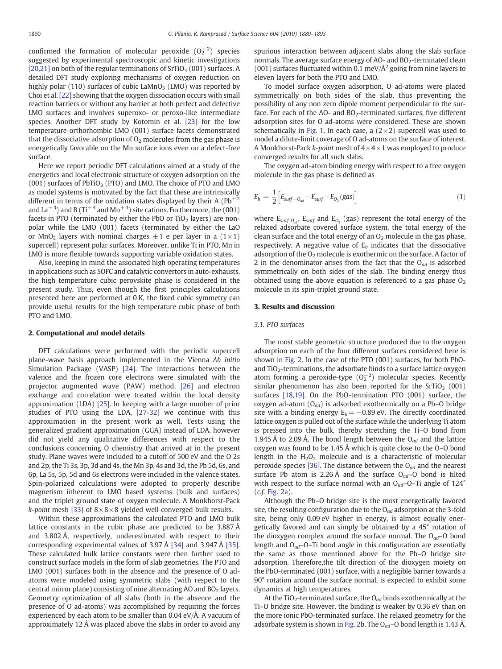confirmed the formation of molecular peroxide  $(O_2^{-2})$  species suggested by experimental spectroscopic and kinetic investigations [\[20,21\]](#page-4-0) on both of the regular terminations of  $SrTiO<sub>3</sub>$  (001) surfaces. A detailed DFT study exploring mechanisms of oxygen reduction on highly polar (110) surfaces of cubic  $\text{LAMnO}_3$  (LMO) was reported by Choi et al. [\[22\]](#page-4-0) showing that the oxygen dissociation occurs with small reaction barriers or without any barrier at both perfect and defective LMO surfaces and involves superoxo- or peroxo-like intermediate species. Another DFT study by Kotomin et al. [\[23\]](#page-4-0) for the low temperature orthorhombic LMO (001) surface facets demonstrated that the dissociative adsorption of  $O<sub>2</sub>$  molecules from the gas phase is energetically favorable on the Mn surface ions even on a defect-free surface.

Here we report periodic DFT calculations aimed at a study of the energetics and local electronic structure of oxygen adsorption on the  $(001)$  surfaces of PbTiO<sub>3</sub> (PTO) and LMO. The choice of PTO and LMO as model systems is motivated by the fact that these are intrinsically different in terms of the oxidation states displayed by their A ( $Pb^{+2}$ ) and La<sup>+3</sup>) and B (Ti<sup>+4</sup> and Mn<sup>+3</sup>) site cations. Furthermore, the (001) facets in PTO (terminated by either the PbO or TiO<sub>2</sub> layers) are nonpolar while the LMO (001) facets (terminated by either the LaO or MnO<sub>2</sub> layers with nominal charges  $\pm 1$  e per layer in a (1×1) supercell) represent polar surfaces. Moreover, unlike Ti in PTO, Mn in LMO is more flexible towards supporting variable oxidation states.

Also, keeping in mind the associated high operating temperatures in applications such as SOFC and catalytic convertors in auto-exhausts, the high temperature cubic perovskite phase is considered in the present study. Thus, even though the first principles calculations presented here are performed at 0 K, the fixed cubic symmetry can provide useful results for the high temperature cubic phase of both PTO and LMO.

#### 2. Computational and model details

DFT calculations were performed with the periodic supercell plane-wave basis approach implemented in the Vienna Ab initio Simulation Package (VASP) [\[24\].](#page-4-0) The interactions between the valence and the frozen core electrons were simulated with the projector augmented wave (PAW) method, [\[26\]](#page-4-0) and electron exchange and correlation were treated within the local density approximation (LDA) [\[25\]](#page-4-0). In keeping with a large number of prior studies of PTO using the LDA, [\[27-32\]](#page-4-0) we continue with this approximation in the present work as well. Tests using the generalized gradient approximation (GGA) instead of LDA, however did not yield any qualitative differences with respect to the conclusions concerning O chemistry that arrived at in the present study. Plane waves were included to a cutoff of 500 eV and the O 2s and 2p, the Ti 3s, 3p, 3d and 4s, the Mn 3p, 4s and 3d, the Pb 5d, 6s, and 6p, La 5s, 5p, 5d and 6s electrons were included in the valence states. Spin-polarized calculations were adopted to properly describe magnetism inherent to LMO based systems (bulk and surfaces) and the triplet ground state of oxygen molecule. A Monkhorst-Pack *k-point* mesh [\[33\]](#page-4-0) of  $8 \times 8 \times 8$  yielded well converged bulk results.

Within these approximations the calculated PTO and LMO bulk lattice constants in the cubic phase are predicted to be 3.887 Å and 3.802 Å, respectively, underestimated with respect to their corresponding experimental values of 3.97 Å [\[34\]](#page-4-0) and 3.947 Å [\[35\].](#page-4-0) These calculated bulk lattice constants were then further used to construct surface models in the form of slab geometries. The PTO and LMO (001) surfaces both in the absence and the presence of O adatoms were modeled using symmetric slabs (with respect to the central mirror plane) consisting of nine alternating AO and  $BO<sub>2</sub>$  layers. Geometry optimization of all slabs (both in the absence and the presence of O ad-atoms) was accomplished by requiring the forces experienced by each atom to be smaller than 0.04 eV/Å. A vacuum of approximately 12 Å was placed above the slabs in order to avoid any spurious interaction between adjacent slabs along the slab surface normals. The average surface energy of AO- and  $BO<sub>2</sub>$ -terminated clean (001) surfaces fluctuated within 0.1 meV/ $\AA$ <sup>2</sup> going from nine layers to eleven layers for both the PTO and LMO.

To model surface oxygen adsorption, O ad-atoms were placed symmetrically on both sides of the slab, thus preventing the possibility of any non zero dipole moment perpendicular to the surface. For each of the AO- and  $BO<sub>2</sub>$ -terminated surfaces, five different adsorption sites for O ad-atoms were considered. These are shown schematically in [Fig. 1](#page-2-0). In each case, a  $(2\times2)$  supercell was used to model a dilute-limit coverage of O ad-atoms on the surface of interest. A Monkhorst-Pack k-point mesh of  $4 \times 4 \times 1$  was employed to produce converged results for all such slabs.

The oxygen ad-atom binding energy with respect to a free oxygen molecule in the gas phase is defined as

$$
E_b = \frac{1}{2} \Big[ E_{\text{surf}-O_{ad}} - E_{\text{surf}} - E_{O_2}(\text{gas}) \Big] \tag{1}
$$

where  $E_{\text{surf-O}_{\text{ref}}}$ ,  $E_{\text{surf}}$  and  $E_{\text{O}_{2}}$  (gas) represent the total energy of the relaxed adsorbate covered surface system, the total energy of the clean surface and the total energy of an  $O<sub>2</sub>$  molecule in the gas phase, respectively. A negative value of  $E_b$  indicates that the dissociative adsorption of the  $O<sub>2</sub>$  molecule is exothermic on the surface. A factor of 2 in the denominator arises from the fact that the  $O_{ad}$  is adsorbed symmetrically on both sides of the slab. The binding energy thus obtained using the above equation is referenced to a gas phase  $O<sub>2</sub>$ molecule in its spin-triplet ground state.

#### 3. Results and discussion

#### 3.1. PTO surfaces

The most stable geometric structure produced due to the oxygen adsorption on each of the four different surfaces considered here is shown in [Fig. 2.](#page-2-0) In the case of the PTO (001) surfaces, for both PbOand  $TiO<sub>2</sub>$ -terminations, the adsorbate binds to a surface lattice oxygen atom forming a peroxide-type  $(O_2^{-2})$  molecular species. Recently similar phenomenon has also been reported for the  $SrriO<sub>3</sub>$  (001) surfaces [\[18,19\]](#page-4-0). On the PbO-termination PTO (001) surface, the oxygen ad-atom  $(O_{ad})$  is adsorbed exothermically on a Pb–O bridge site with a binding energy  $E_b=-0.89$  eV. The directly coordinated lattice oxygen is pulled out of the surface while the underlying Ti atom is pressed into the bulk, thereby stretching the Ti–O bond from 1.945 Å to 2.09 Å. The bond length between the  $O_{ad}$  and the lattice oxygen was found to be 1.45 Å which is quite close to the O–O bond length in the  $H_2O_2$  molecule and is a characteristic of molecular peroxide species [\[36\].](#page-4-0) The distance between the  $O_{ad}$  and the nearest surface Pb atom is 2.26 Å and the surface  $O_{ad}$ –O bond is tilted with respect to the surface normal with an  $O_{ad}$ –O–Ti angle of 124 $\degree$ (c.f. [Fig. 2a](#page-2-0)).

Although the Pb–O bridge site is the most energetically favored site, the resulting configuration due to the  $O_{ad}$  adsorption at the 3-fold site, being only 0.09 eV higher in energy, is almost equally energetically favored and can simply be obtained by a 45° rotation of the dioxygen complex around the surface normal. The  $O_{ad}$ –O bond length and  $O_{ad}$ –O–Ti bond angle in this configuration are essentially the same as those mentioned above for the Pb–O bridge site adsorption. Therefore,the tilt direction of the dioxygen moiety on the PbO-terminated (001) surface, with a negligible barrier towards a 90° rotation around the surface normal, is expected to exhibit some dynamics at high temperatures.

At the TiO<sub>2</sub>-terminated surface, the O<sub>ad</sub> binds exothermically at the Ti–O bridge site. However, the binding is weaker by 0.36 eV than on the more ionic PbO-terminated surface. The relaxed geometry for the adsorbate system is shown in [Fig. 2b](#page-2-0). The O<sub>ad</sub>–O bond length is 1.43 Å,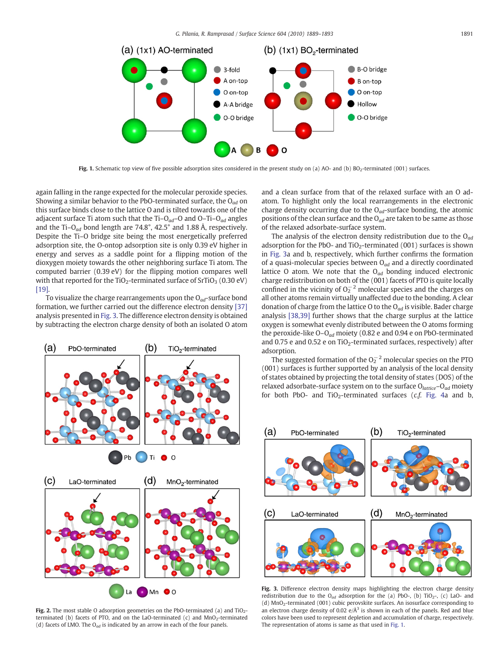<span id="page-2-0"></span>

Fig. 1. Schematic top view of five possible adsorption sites considered in the present study on (a) AO- and (b)  $BO<sub>2</sub>$ -terminated (001) surfaces.

again falling in the range expected for the molecular peroxide species. Showing a similar behavior to the PbO-terminated surface, the  $O_{ad}$  on this surface binds close to the lattice O and is tilted towards one of the adjacent surface Ti atom such that the Ti–O<sub>ad</sub>–O and O–Ti–O<sub>ad</sub> angles and the Ti- $O_{ad}$  bond length are 74.8°, 42.5° and 1.88 Å, respectively. Despite the Ti–O bridge site being the most energetically preferred adsorption site, the O-ontop adsorption site is only 0.39 eV higher in energy and serves as a saddle point for a flipping motion of the dioxygen moiety towards the other neighboring surface Ti atom. The computed barrier (0.39 eV) for the flipping motion compares well with that reported for the TiO<sub>2</sub>-terminated surface of SrTiO<sub>3</sub> (0.30 eV) [\[19\]](#page-4-0).

To visualize the charge rearrangements upon the  $O_{ad}$ -surface bond formation, we further carried out the difference electron density [\[37\]](#page-4-0) analysis presented in Fig. 3. The difference electron density is obtained by subtracting the electron charge density of both an isolated O atom



Fig. 2. The most stable O adsorption geometries on the PbO-terminated (a) and  $TiO<sub>2</sub>$ terminated (b) facets of PTO, and on the LaO-terminated (c) and  $MnO<sub>2</sub>$ -terminated (d) facets of LMO. The  $O_{ad}$  is indicated by an arrow in each of the four panels.

and a clean surface from that of the relaxed surface with an O adatom. To highlight only the local rearrangements in the electronic charge density occurring due to the  $O_{ad}$ -surface bonding, the atomic positions of the clean surface and the  $O_{ad}$  are taken to be same as those of the relaxed adsorbate-surface system.

The analysis of the electron density redistribution due to the  $O_{ad}$ adsorption for the PbO- and TiO<sub>2</sub>-terminated (001) surfaces is shown in Fig. 3a and b, respectively, which further confirms the formation of a quasi-molecular species between  $O_{ad}$  and a directly coordinated lattice O atom. We note that the  $O_{ad}$  bonding induced electronic charge redistribution on both of the (001) facets of PTO is quite locally confined in the vicinity of  $O_2^{-2}$  molecular species and the charges on all other atoms remain virtually unaffected due to the bonding. A clear donation of charge from the lattice O to the  $O_{ad}$  is visible. Bader charge analysis [\[38,39\]](#page-4-0) further shows that the charge surplus at the lattice oxygen is somewhat evenly distributed between the O atoms forming the peroxide-like  $O-O_{ad}$  moiety (0.82 e and 0.94 e on PbO-terminated and 0.75 e and 0.52 e on TiO<sub>2</sub>-terminated surfaces, respectively) after adsorption.

The suggested formation of the  $O_2^{-\,2}$  molecular species on the PTO (001) surfaces is further supported by an analysis of the local density of states obtained by projecting the total density of states (DOS) of the relaxed adsorbate-surface system on to the surface  $O_{lattice} - O_{ad}$  moiety for both PbO- and TiO<sub>2</sub>-terminated surfaces ( $c.f.$  [Fig. 4a](#page-3-0) and b,



Fig. 3. Difference electron density maps highlighting the electron charge density redistribution due to the O<sub>ad</sub> adsorption for the (a) PbO-, (b) TiO<sub>2</sub>-, (c) LaO- and (d) MnO2-terminated (001) cubic perovskite surfaces. An isosurface corresponding to an electron charge density of 0.02  $e/\AA$ <sup>3</sup> is shown in each of the panels. Red and blue colors have been used to represent depletion and accumulation of charge, respectively. The representation of atoms is same as that used in Fig. 1.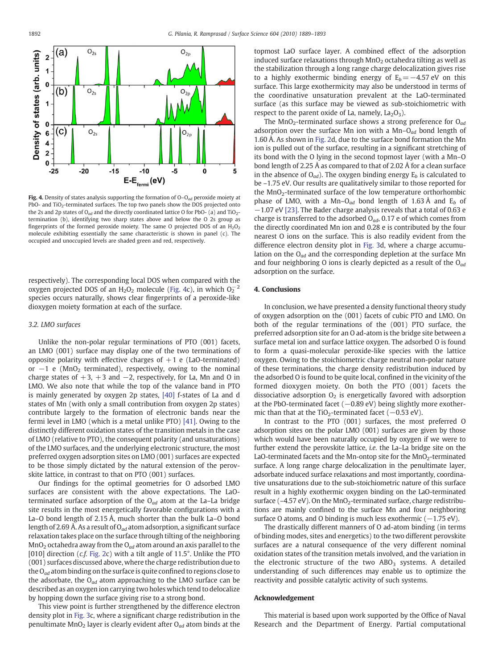<span id="page-3-0"></span>

Fig. 4. Density of states analysis supporting the formation of  $O-O_{ad}$  peroxide moiety at PbO- and TiO<sub>2</sub>-terminated surfaces. The top two panels show the DOS projected onto the 2s and 2p states of  $O_{ad}$  and the directly coordinated lattice O for PbO- (a) and TiO<sub>2</sub>termination (b), identifying two sharp states above and below the O 2s group as fingerprints of the formed peroxide moiety. The same O projected DOS of an  $H_2O_2$ molecule exhibiting essentially the same characteristic is shown in panel (c). The occupied and unoccupied levels are shaded green and red, respectively.

respectively). The corresponding local DOS when compared with the oxygen projected DOS of an  $H_2O_2$  molecule (Fig. 4c), in which  $O_2^{-2}$ species occurs naturally, shows clear fingerprints of a peroxide-like dioxygen moiety formation at each of the surface.

#### 3.2. LMO surfaces

Unlike the non-polar regular terminations of PTO (001) facets, an LMO (001) surface may display one of the two terminations of opposite polarity with effective charges of  $+1$  e (LaO-terminated) or  $-1$  e (MnO<sub>2</sub> terminated), respectively, owing to the nominal charge states of  $+3$ ,  $+3$  and  $-2$ , respectively, for La, Mn and O in LMO. We also note that while the top of the valance band in PTO is mainly generated by oxygen 2p states, [\[40\]](#page-4-0) f-states of La and d states of Mn (with only a small contribution from oxygen 2p states) contribute largely to the formation of electronic bands near the fermi level in LMO (which is a metal unlike PTO) [\[41\]](#page-4-0). Owing to the distinctly different oxidation states of the transition metals in the case of LMO (relative to PTO), the consequent polarity (and unsaturations) of the LMO surfaces, and the underlying electronic structure, the most preferred oxygen adsorption sites on LMO (001) surfaces are expected to be those simply dictated by the natural extension of the perovskite lattice, in contrast to that on PTO (001) surfaces.

Our findings for the optimal geometries for O adsorbed LMO surfaces are consistent with the above expectations. The LaOterminated surface adsorption of the  $O_{ad}$  atom at the La–La bridge site results in the most energetically favorable configurations with a La–O bond length of 2.15 Å, much shorter than the bulk La–O bond length of 2.69 Å. As a result of O<sub>ad</sub> atom adsorption, a significant surface relaxation takes place on the surface through tilting of the neighboring  $MnO<sub>2</sub>$  octahedra away from the  $O<sub>ad</sub>$  atom around an axis parallel to the [010] direction (c.f. [Fig. 2c](#page-2-0)) with a tilt angle of 11.5°. Unlike the PTO (001) surfaces discussed above, where the charge redistribution due to the  $O_{ad}$  atom binding on the surface is quite confined to regions close to the adsorbate, the  $O_{ad}$  atom approaching to the LMO surface can be described as an oxygen ion carrying two holes which tend to delocalize by hopping down the surface giving rise to a strong bond.

This view point is further strengthened by the difference electron density plot in [Fig. 3c](#page-2-0), where a significant charge redistribution in the penultimate  $MnO<sub>2</sub>$  layer is clearly evident after  $O<sub>ad</sub>$  atom binds at the topmost LaO surface layer. A combined effect of the adsorption induced surface relaxations through  $MnO<sub>2</sub>$  octahedra tilting as well as the stabilization through a long range charge delocalization gives rise to a highly exothermic binding energy of  $E_b=-4.57$  eV on this surface. This large exothermicity may also be understood in terms of the coordinative unsaturation prevalent at the LaO-terminated surface (as this surface may be viewed as sub-stoichiometric with respect to the parent oxide of La, namely,  $La<sub>2</sub>O<sub>3</sub>$ ).

The MnO<sub>2</sub>-terminated surface shows a strong preference for  $O_{ad}$ adsorption over the surface Mn ion with a Mn– $O_{ad}$  bond length of 1.60 Å. As shown in [Fig. 2](#page-2-0)d, due to the surface bond formation the Mn ion is pulled out of the surface, resulting in a significant stretching of its bond with the O lying in the second topmost layer (with a Mn–O bond length of 2.25 Å as compared to that of 2.02 Å for a clean surface in the absence of  $O_{ad}$ ). The oxygen binding energy  $E_b$  is calculated to be –1.75 eV. Our results are qualitatively similar to those reported for the  $MnO<sub>2</sub>$ -terminated surface of the low temperature orthorhombic phase of LMO, with a Mn–O<sub>ad</sub> bond length of 1.63 Å and  $E_b$  of −1.07 eV [\[23\].](#page-4-0) The Bader charge analysis reveals that a total of 0.63 e charge is transferred to the adsorbed  $O_{ad}$ , 0.17 e of which comes from the directly coordinated Mn ion and 0.28 e is contributed by the four nearest O ions on the surface. This is also readily evident from the difference electron density plot in [Fig. 3](#page-2-0)d, where a charge accumulation on the  $O_{ad}$  and the corresponding depletion at the surface Mn and four neighboring O ions is clearly depicted as a result of the  $O_{ad}$ adsorption on the surface.

#### 4. Conclusions

In conclusion, we have presented a density functional theory study of oxygen adsorption on the (001) facets of cubic PTO and LMO. On both of the regular terminations of the (001) PTO surface, the preferred adsorption site for an O ad-atom is the bridge site between a surface metal ion and surface lattice oxygen. The adsorbed O is found to form a quasi-molecular peroxide-like species with the lattice oxygen. Owing to the stoichiometric charge neutral non-polar nature of these terminations, the charge density redistribution induced by the adsorbed O is found to be quite local, confined in the vicinity of the formed dioxygen moiety. On both the PTO (001) facets the dissociative adsorption  $O<sub>2</sub>$  is energetically favored with adsorption at the PbO-terminated facet (-0.89 eV) being slightly more exothermic than that at the TiO<sub>2</sub>-terminated facet ( $-0.53$  eV).

In contrast to the PTO (001) surfaces, the most preferred O adsorption sites on the polar LMO (001) surfaces are given by those which would have been naturally occupied by oxygen if we were to further extend the perovskite lattice, i.e. the La–La bridge site on the LaO-terminated facets and the Mn-ontop site for the  $MnO<sub>2</sub>$ -terminated surface. A long range charge delocalization in the penultimate layer, adsorbate induced surface relaxations and most importantly, coordinative unsaturations due to the sub-stoichiometric nature of this surface result in a highly exothermic oxygen binding on the LaO-terminated surface ( $-4.57$  eV). On the MnO<sub>2</sub>-terminated surface, charge redistributions are mainly confined to the surface Mn and four neighboring surface O atoms, and O binding is much less exothermic  $(-1.75 \text{ eV})$ .

The drastically different manners of O ad-atom binding (in terms of binding modes, sites and energetics) to the two different perovskite surfaces are a natural consequence of the very different nominal oxidation states of the transition metals involved, and the variation in the electronic structure of the two  $ABO<sub>3</sub>$  systems. A detailed understanding of such differences may enable us to optimize the reactivity and possible catalytic activity of such systems.

#### Acknowledgement

This material is based upon work supported by the Office of Naval Research and the Department of Energy. Partial computational